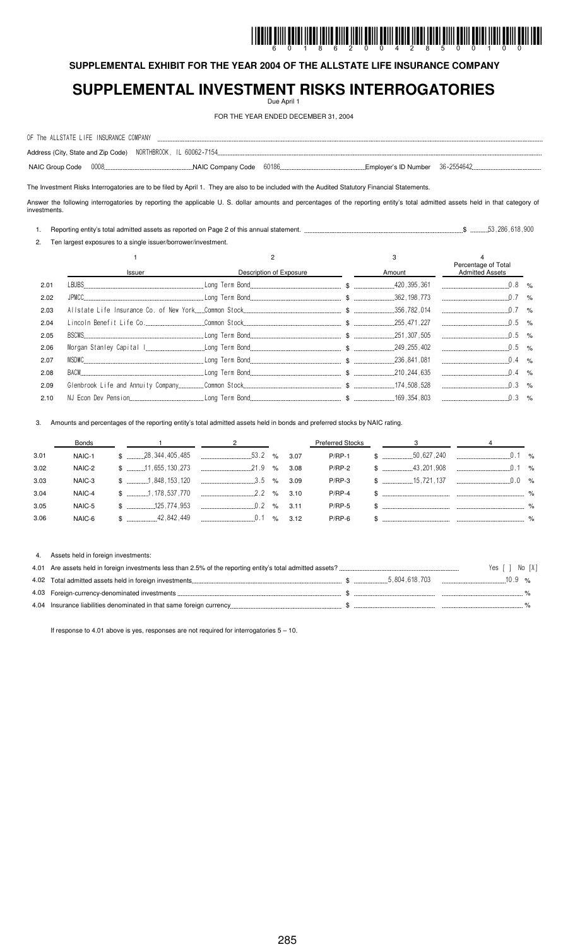# I IDDIID BIIII BAIDI İIDDI İBIID BIIID ÎNII ÎDIII BAIII BIDIN TIDDI ÎDIDI ÎNIII BAIII BAIDI ÎIDII BAIII IDDI I

**SUPPLEMENTAL EXHIBIT FOR THE YEAR 2004 OF THE ALLSTATE LIFE INSURANCE COMPANY**

## **SUPPLEMENTAL INVESTMENT RISKS INTERROGATORIES**

Due April 1

FOR THE YEAR ENDED DECEMBER 31, 2004

| OF The ALLSTATE LIFE INSURANCE COMPANY |  |  |  |
|----------------------------------------|--|--|--|
|                                        |  |  |  |
|                                        |  |  |  |

The Investment Risks Interrogatories are to be filed by April 1. They are also to be included with the Audited Statutory Financial Statements.

Answer the following interrogatories by reporting the applicable U. S. dollar amounts and percentages of the reporting entity's total admitted assets held in that category of investments.

1. Reporting entity's total admitted assets as reported on Page 2 of this annual statement. \$ !

2. Ten largest exposures to a single issuer/borrower/investment.

|      |               |                         |        | Percentage of Total    |  |
|------|---------------|-------------------------|--------|------------------------|--|
|      | <b>Issuer</b> | Description of Exposure | Amount | <b>Admitted Assets</b> |  |
| 2.01 |               |                         |        |                        |  |
| 2.02 |               |                         |        |                        |  |
| 2.03 |               |                         |        |                        |  |
| 2.04 |               |                         |        |                        |  |
| 2.05 |               |                         |        |                        |  |
| 2.06 |               |                         |        |                        |  |
| 2.07 |               |                         |        |                        |  |
| 2.08 |               |                         |        |                        |  |
| 2.09 |               |                         |        |                        |  |
| 2.10 |               |                         |        |                        |  |

Amounts and percentages of the reporting entity's total admitted assets held in bonds and preferred stocks by NAIC rating.

|      | Bonds  |  | $\frac{1}{2}$ $\frac{1}{2}$ $\frac{1}{2}$ $\frac{2}{2}$                                                                                                                                                                                                                                                                         |  |          | Preferred Stocks 3 and 4 and 4 and 4 and 4 and 4 and 4 and 4 and 4 and 4 and 4 and 4 and 4 and 4 and 4 and 4 and 4 and 4 and 4 and 4 and 4 and 4 and 4 and 4 and 4 and 4 and 4 and 4 and 4 and 4 and 4 and 4 and 4 and 4 and 4 |  |
|------|--------|--|---------------------------------------------------------------------------------------------------------------------------------------------------------------------------------------------------------------------------------------------------------------------------------------------------------------------------------|--|----------|--------------------------------------------------------------------------------------------------------------------------------------------------------------------------------------------------------------------------------|--|
| 3.01 | NAIC-1 |  | $\frac{1}{2}$ $\frac{1}{2}$ $\frac{1}{2}$ $\frac{1}{2}$ $\frac{1}{2}$ $\frac{1}{2}$ $\frac{1}{2}$ $\frac{1}{2}$ $\frac{1}{2}$ $\frac{1}{2}$ $\frac{1}{2}$ $\frac{1}{2}$ $\frac{1}{2}$ $\frac{1}{2}$ $\frac{1}{2}$ $\frac{1}{2}$ $\frac{1}{2}$ $\frac{1}{2}$ $\frac{1}{2}$ $\frac{1}{2}$ $\frac{1}{2}$ $\frac{1}{2}$             |  |          |                                                                                                                                                                                                                                |  |
| 3.02 | NAIC-2 |  | $\frac{1}{2}$ $\frac{1}{2}$ $\frac{1}{2}$ $\frac{1}{2}$ $\frac{1}{2}$ $\frac{1}{2}$ $\frac{1}{2}$ $\frac{1}{2}$ $\frac{1}{2}$ $\frac{1}{2}$ $\frac{1}{2}$ $\frac{1}{2}$ $\frac{1}{2}$ $\frac{1}{2}$ $\frac{1}{2}$ $\frac{1}{2}$ $\frac{1}{2}$ $\frac{1}{2}$ $\frac{1}{2}$ $\frac{1}{2}$ $\frac{1}{2}$ $\frac{1}{2}$             |  |          |                                                                                                                                                                                                                                |  |
| 3.03 | NAIC-3 |  | $$$ $$$ $3.09$                                                                                                                                                                                                                                                                                                                  |  | $P/RP-3$ |                                                                                                                                                                                                                                |  |
| 3.04 | NAIC-4 |  | $\frac{1}{2}$ , $\frac{1}{2}$ , $\frac{1}{2}$ , $\frac{1}{2}$ , $\frac{1}{2}$ , $\frac{1}{2}$ , $\frac{1}{2}$ , $\frac{1}{2}$ , $\frac{1}{2}$ , $\frac{1}{2}$ , $\frac{1}{2}$ , $\frac{1}{2}$ , $\frac{1}{2}$ , $\frac{1}{2}$ , $\frac{1}{2}$ , $\frac{1}{2}$ , $\frac{1}{2}$ , $\frac{1}{2}$ , $\frac{1}{2}$ , $\frac{1}{2}$ , |  | $P/RP-4$ |                                                                                                                                                                                                                                |  |
| 3.05 | NAIC-5 |  |                                                                                                                                                                                                                                                                                                                                 |  | P/RP-5   |                                                                                                                                                                                                                                |  |
| 3.06 | NAIC-6 |  | $$$ 3.12                                                                                                                                                                                                                                                                                                                        |  |          |                                                                                                                                                                                                                                |  |

4. Assets held in foreign investments: 4.01 Are assets held in foreign investments less than 2.5% of the reporting entity's total admitted assets? + ; < " ;=< 4.02 Total admitted assets held in foreign investments \$ (! % 4.03 Foreign-currency-denominated investments \$ % 4.04 Insurance liabilities denominated in that same foreign currency \$ %

If response to 4.01 above is yes, responses are not required for interrogatories  $5 - 10$ .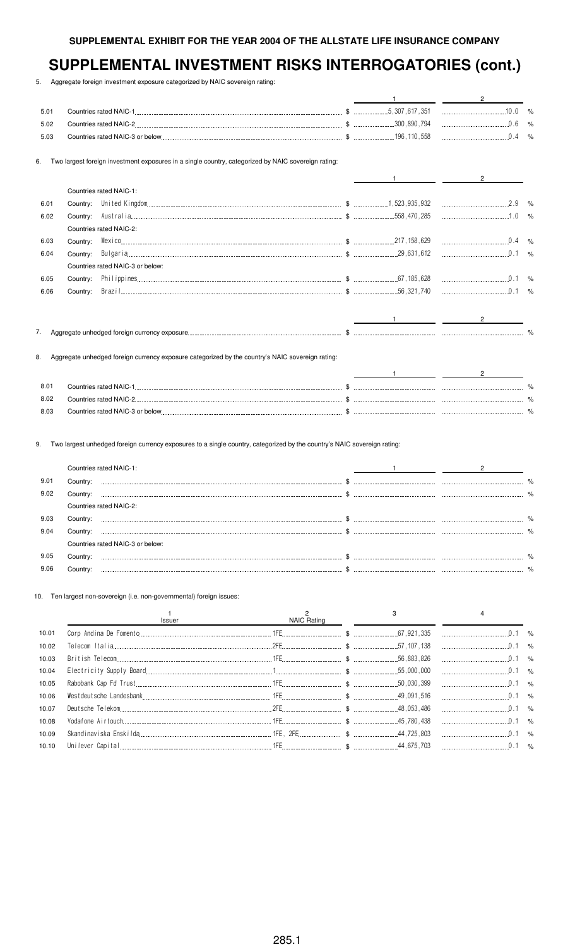5. Aggregate foreign investment exposure categorized by NAIC sovereign rating:

| 5.01 |                                                                                                                                                                                                                                           |  |                                |  |
|------|-------------------------------------------------------------------------------------------------------------------------------------------------------------------------------------------------------------------------------------------|--|--------------------------------|--|
| 5.02 |                                                                                                                                                                                                                                           |  |                                |  |
| 5.03 |                                                                                                                                                                                                                                           |  |                                |  |
| 6.   | Two largest foreign investment exposures in a single country, categorized by NAIC sovereign rating:                                                                                                                                       |  |                                |  |
|      |                                                                                                                                                                                                                                           |  | $^{2}$                         |  |
|      | Countries rated NAIC-1:                                                                                                                                                                                                                   |  |                                |  |
| 6.01 | Country:                                                                                                                                                                                                                                  |  |                                |  |
| 6.02 | Country:                                                                                                                                                                                                                                  |  |                                |  |
|      | Countries rated NAIC-2:                                                                                                                                                                                                                   |  |                                |  |
| 6.03 | Country:                                                                                                                                                                                                                                  |  |                                |  |
| 6.04 | Country:                                                                                                                                                                                                                                  |  |                                |  |
|      | Countries rated NAIC-3 or below:                                                                                                                                                                                                          |  |                                |  |
| 6.05 | 0.1 % 0.1 % 0.1 % 0.1 % 0.1 % 0.1 % 0.1 % 0.1 % 0.1 % 0.1 % 0.1 % 0.1 % 0.1 % 0.1 % 0.1 % 0.1 % 0.1 % 0.1 % 0.1 % 0.1 % 0.1 % 0.1 % 0.1 % 0.1 % 0.1 % 0.1 % 0.1 % 0.1 % 0.1 % 0.1 % 0.1 % 0.1 % 0.1 % 0.1 % 0.1 % 0.1 % 0.1 %<br>Country: |  |                                |  |
| 6.06 | Country:                                                                                                                                                                                                                                  |  |                                |  |
|      |                                                                                                                                                                                                                                           |  | $2 \left( \frac{1}{2} \right)$ |  |
| 7.   |                                                                                                                                                                                                                                           |  |                                |  |
| 8.   | Aggregate unhedged foreign currency exposure categorized by the country's NAIC sovereign rating:                                                                                                                                          |  |                                |  |
|      |                                                                                                                                                                                                                                           |  | $2 \left( \frac{1}{2} \right)$ |  |
| 8.01 |                                                                                                                                                                                                                                           |  |                                |  |
| 8.02 |                                                                                                                                                                                                                                           |  |                                |  |
| 8.03 |                                                                                                                                                                                                                                           |  |                                |  |

9. Two largest unhedged foreign currency exposures to a single country, categorized by the country's NAIC sovereign rating:

|      | Countries rated NAIC-1:          |  |      |
|------|----------------------------------|--|------|
| 9.01 |                                  |  |      |
| 9.02 |                                  |  | $\%$ |
|      | Countries rated NAIC-2:          |  |      |
| 9.03 |                                  |  |      |
| 9.04 |                                  |  |      |
|      | Countries rated NAIC-3 or below: |  |      |
| 9.05 |                                  |  |      |
| 9.06 |                                  |  |      |

10. Ten largest non-sovereign (i.e. non-governmental) foreign issues:

|       | Issuer | NAIC Rating <b>Example 2018</b> |  |  |  |
|-------|--------|---------------------------------|--|--|--|
| 10.01 |        |                                 |  |  |  |
| 10.02 |        |                                 |  |  |  |
| 10.03 |        |                                 |  |  |  |
| 10.04 |        |                                 |  |  |  |
| 10.05 |        |                                 |  |  |  |
| 10.06 |        |                                 |  |  |  |
| 10.07 |        |                                 |  |  |  |
| 10.08 |        |                                 |  |  |  |
| 10.09 |        |                                 |  |  |  |
|       |        |                                 |  |  |  |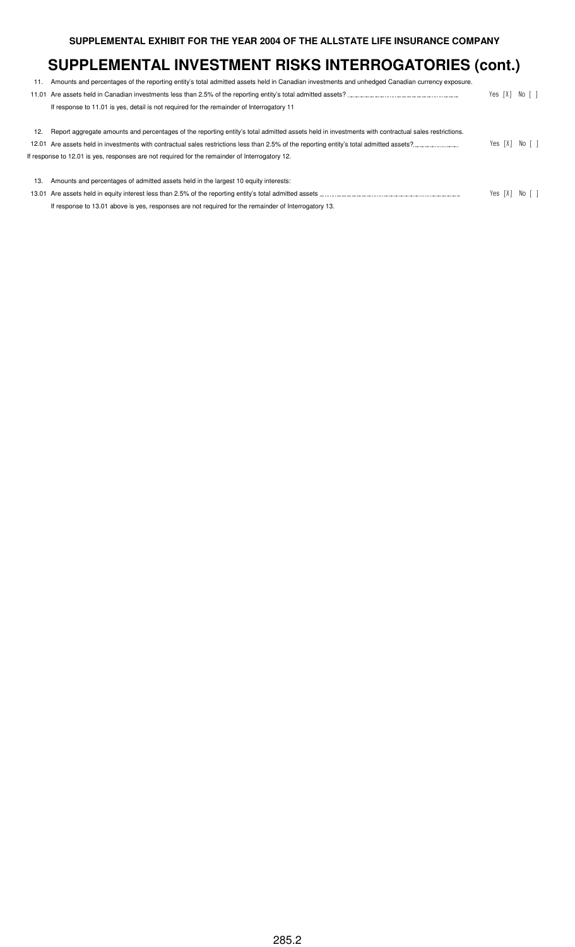| 11. | Amounts and percentages of the reporting entity's total admitted assets held in Canadian investments and unhedged Canadian currency exposure.     |                      |                |
|-----|---------------------------------------------------------------------------------------------------------------------------------------------------|----------------------|----------------|
|     |                                                                                                                                                   | Yes [X] No [ ]       |                |
|     | If response to 11.01 is yes, detail is not required for the remainder of Interrogatory 11                                                         |                      |                |
|     |                                                                                                                                                   |                      |                |
| 12. | Report aggregate amounts and percentages of the reporting entity's total admitted assets held in investments with contractual sales restrictions. |                      |                |
|     |                                                                                                                                                   | Yes $[X]$ No $[$ $]$ |                |
|     | If response to 12.01 is yes, responses are not required for the remainder of Interrogatory 12.                                                    |                      |                |
|     |                                                                                                                                                   |                      |                |
| 13. | Amounts and percentages of admitted assets held in the largest 10 equity interests:                                                               |                      |                |
|     |                                                                                                                                                   |                      | Yes [X] No [ ] |
|     | If response to 13.01 above is yes, responses are not required for the remainder of Interrogatory 13.                                              |                      |                |
|     |                                                                                                                                                   |                      |                |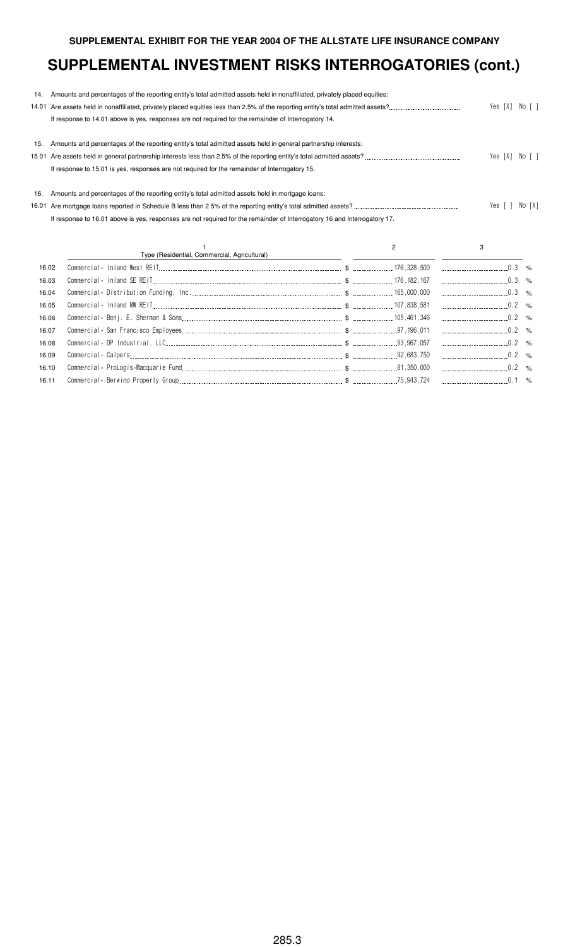|       | 14. Amounts and percentages of the reporting entity's total admitted assets held in nonaffiliated, privately placed equities: |   |                    |        |
|-------|-------------------------------------------------------------------------------------------------------------------------------|---|--------------------|--------|
| 14.01 |                                                                                                                               |   | Yes $[X]$ No $[ ]$ |        |
|       | If response to 14.01 above is yes, responses are not required for the remainder of Interrogatory 14.                          |   |                    |        |
| 15.   | Amounts and percentages of the reporting entity's total admitted assets held in general partnership interests:                |   |                    |        |
| 15.01 |                                                                                                                               |   | Yes [X] No [ ]     |        |
|       | If response to 15.01 is yes, responses are not required for the remainder of Interrogatory 15.                                |   |                    |        |
| 16.   | Amounts and percentages of the reporting entity's total admitted assets held in mortgage loans:                               |   |                    |        |
| 16.01 |                                                                                                                               |   | Yes [ ]            | No [X] |
|       | If response to 16.01 above is yes, responses are not required for the remainder of Interrogatory 16 and Interrogatory 17.     |   |                    |        |
|       |                                                                                                                               |   |                    |        |
|       | Type (Residential, Commercial, Agricultural)                                                                                  | 2 | 3                  |        |
|       | 16.02                                                                                                                         |   | $0.3 \gamma$       |        |
|       | 16.03                                                                                                                         |   | $\ldots$ 0.3 %     |        |
| 16.04 |                                                                                                                               |   | $\ldots$ 0.3       | $\%$   |
| 16.05 |                                                                                                                               |   | $0.2\%$            |        |
| 16.06 |                                                                                                                               |   | $0.2$ %            |        |
| 16.07 |                                                                                                                               |   | $0.2$ %            |        |
| 16.08 |                                                                                                                               |   | $0.2$ %            |        |
| 16.09 |                                                                                                                               |   | $0.2$ %            |        |
|       | 16.10                                                                                                                         |   | $0.2$ %            |        |

16.11 "&&%1.-\* %2.#' %"5%,4 8%"05 \$ ! ( %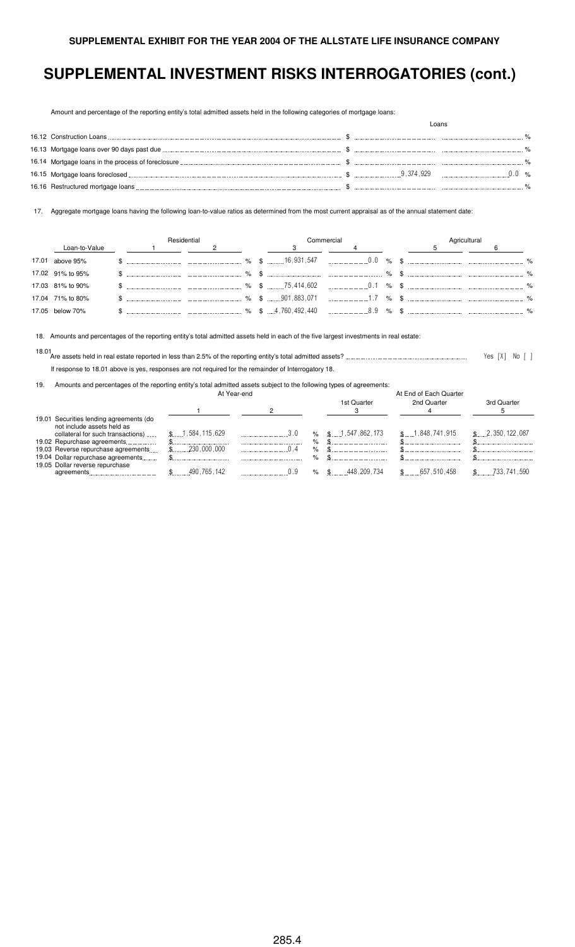Amount and percentage of the reporting entity's total admitted assets held in the following categories of mortgage loans:

| 16.12 Construction Loans. |  | $0.0\%$ |
|---------------------------|--|---------|

Loans

17. Aggregate mortgage loans having the following loan-to-value ratios as determined from the most current appraisal as of the annual statement date:

|       |                  | Residential |  |  |  | Commercial | Agricultural |  |  |
|-------|------------------|-------------|--|--|--|------------|--------------|--|--|
|       | Loan-to-Value    |             |  |  |  |            |              |  |  |
| 17.01 | above 95%        |             |  |  |  |            |              |  |  |
|       | 17.02 91% to 95% |             |  |  |  |            |              |  |  |
|       | 17.03 81% to 90% |             |  |  |  |            |              |  |  |
|       | 17.04 71% to 80% |             |  |  |  |            |              |  |  |
|       | 17.05 below 70%  |             |  |  |  | 8.9 % \$.  |              |  |  |

18. Amounts and percentages of the reporting entity's total admitted assets held in each of the five largest investments in real estate:

18.01 Are assets held in real estate reported in less than 2.5% of the reporting entity's total admitted assets? + ;=< " ; < If response to 18.01 above is yes, responses are not required for the remainder of Interrogatory 18.

19. Amounts and percentages of the reporting entity's total admitted assets subject to the following types of agreements:

|                                                                       |                 | At Year-end |      |                     | At End of Each Quarter |                 |  |  |  |
|-----------------------------------------------------------------------|-----------------|-------------|------|---------------------|------------------------|-----------------|--|--|--|
|                                                                       |                 |             |      | 1st Quarter         | 2nd Quarter            | 3rd Quarter     |  |  |  |
| 19.01 Securities lending agreements (do<br>not include assets held as |                 |             |      |                     |                        |                 |  |  |  |
| collateral for such transactions)                                     | \$1.584.115.629 |             | $\%$ | \$1,547,862,173     | \$1.848.741.915        | \$2,350,122,087 |  |  |  |
| 19.02 Repurchase agreements                                           |                 |             | %    |                     |                        |                 |  |  |  |
| 19.03 Reverse repurchase agreements                                   | .230.000.000    |             | %    |                     |                        |                 |  |  |  |
| 19.04 Dollar repurchase agreements                                    |                 |             | %    |                     |                        |                 |  |  |  |
| 19.05 Dollar reverse repurchase                                       | 490.765.142     |             |      | $\%$ \$ 448,209,734 | $$$ 657510458          |                 |  |  |  |